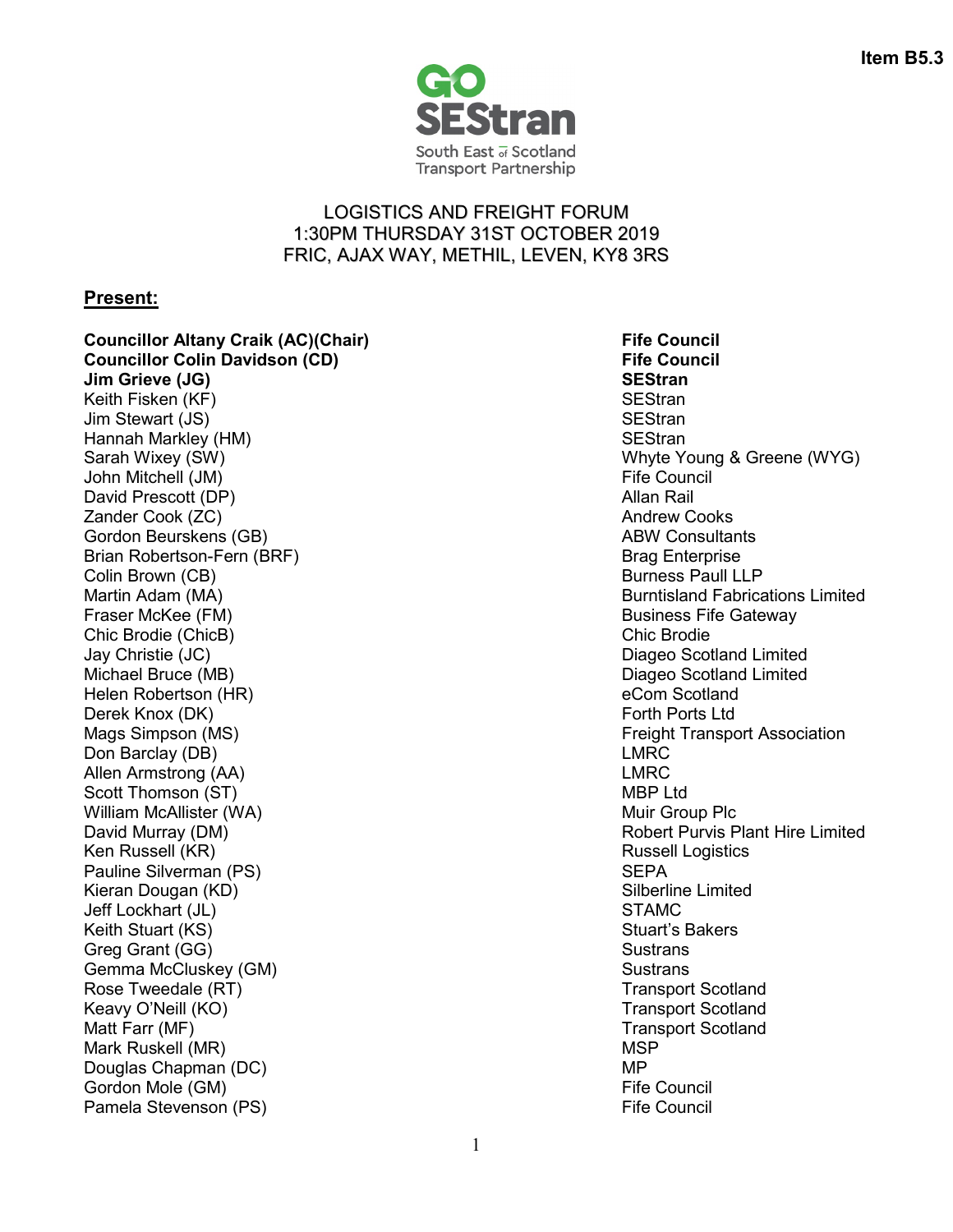

## LOGISTICS AND FREIGHT FORUM 1:30PM THURSDAY 31ST OCTOBER 2019 FRIC, AJAX WAY, METHIL, LEVEN, KY8 3RS

## **Present:**

**Councillor Altany Craik (AC)(Chair)** Fife Council **Fife** Council **Council** Council **Council Council Councillor Colin Davidson (CD) Jim Grieve (JG) SEStran** Keith Fisken (KF) SEStran Jim Stewart (JS) Hannah Markley (HM) SEStran Summary Session Session Session Session Session Session Session Session Session Se Sarah Wixey (SW) Now the West Control of the Whyte Young & Greene (WYG) John Mitchell (JM) Fife Council David Prescott (DP) and the state of the state of the Sales and Allan Rail and Allan Rail and Allan Rail and Allan Rail and Allan Rail and Allan Rail and Allan Rail and Allan Rail and Allan Rail and Allan Rail and Allan Ra **Zander Cook (ZC)** Andrew Cooks (ZC) Andrew Cooks and Andrew Cooks and Andrew Cooks and Andrew Cooks and Andrew Cooks and Andrew Cooks and Andrew Cooks and Andrew Cooks and Andrew Cooks and Andrew Cooks and Andrew Cooks an Gordon Beurskens (GB) ABW Consultants Brian Robertson-Fern (BRF) Brian Brag Enterprise Colin Brown (CB) and the color of the color of the colin Burness Paull LLP Martin Adam (MA) **Burntisland Fabrications Limited Burntisland Fabrications Limited** Fraser McKee (FM) Business Fife Gateway Chic Brodie (ChicB) Jay Christie (JC) Diageo Scotland Limited Michael Bruce (MB) Diageo Scotland Limited Helen Robertson (HR) eCom Scotland Derek Knox (DK) Forth Ports Ltd Mags Simpson (MS) **Figure 1** Association **Mags Simpson (MS)** Freight Transport Association Don Barclay (DB) **LMRC** Allen Armstrong (AA) and the control of the control of the control of the control of the control of the control of the control of the control of the control of the control of the control of the control of the control of th Scott Thomson (ST) and the second state of the second state of the MBP Ltd William McAllister (WA) Nullet and the Muir Group Plc and Muir Group Plc David Murray (DM) **David Murray (DM)** Robert Purvis Plant Hire Limited Ken Russell (KR) Russell Logistics **Russell Logistics** Pauline Silverman (PS) SEPA Kieran Dougan (KD) Silberline Limited<br>Jeff Lockhart (JL) STAMC Jeff Lockhart (JL) Keith Stuart (KS) Stuart's Bakers Stuart's Bakers Stuart's Bakers Stuart's Bakers Greg Grant (GG) Sustrans Gemma McCluskey (GM) Sustrans Sustrans Sustrans Sustrans Sustrans Sustrans Sustrans Sustrans Sustrans Sustrans Rose Tweedale (RT) Transport Scotland Keavy O'Neill (KO) New York Scotland Transport Scotland Matt Farr (MF) Note that the state of the state of the state of the Transport Scotland Mark Ruskell (MR) MSP Note that the matrix of the MSP Douglas Chapman (DC) MP Gordon Mole (GM) Pamela Stevenson (PS) **Figure 2** and 2 and 2 and 2 and 2 and 2 and 2 and 2 and 2 and 2 and 2 and 2 and 2 and 2 and 2 and 2 and 2 and 2 and 2 and 2 and 2 and 2 and 2 and 2 and 2 and 2 and 2 and 2 and 2 and 2 and 2 and 2 and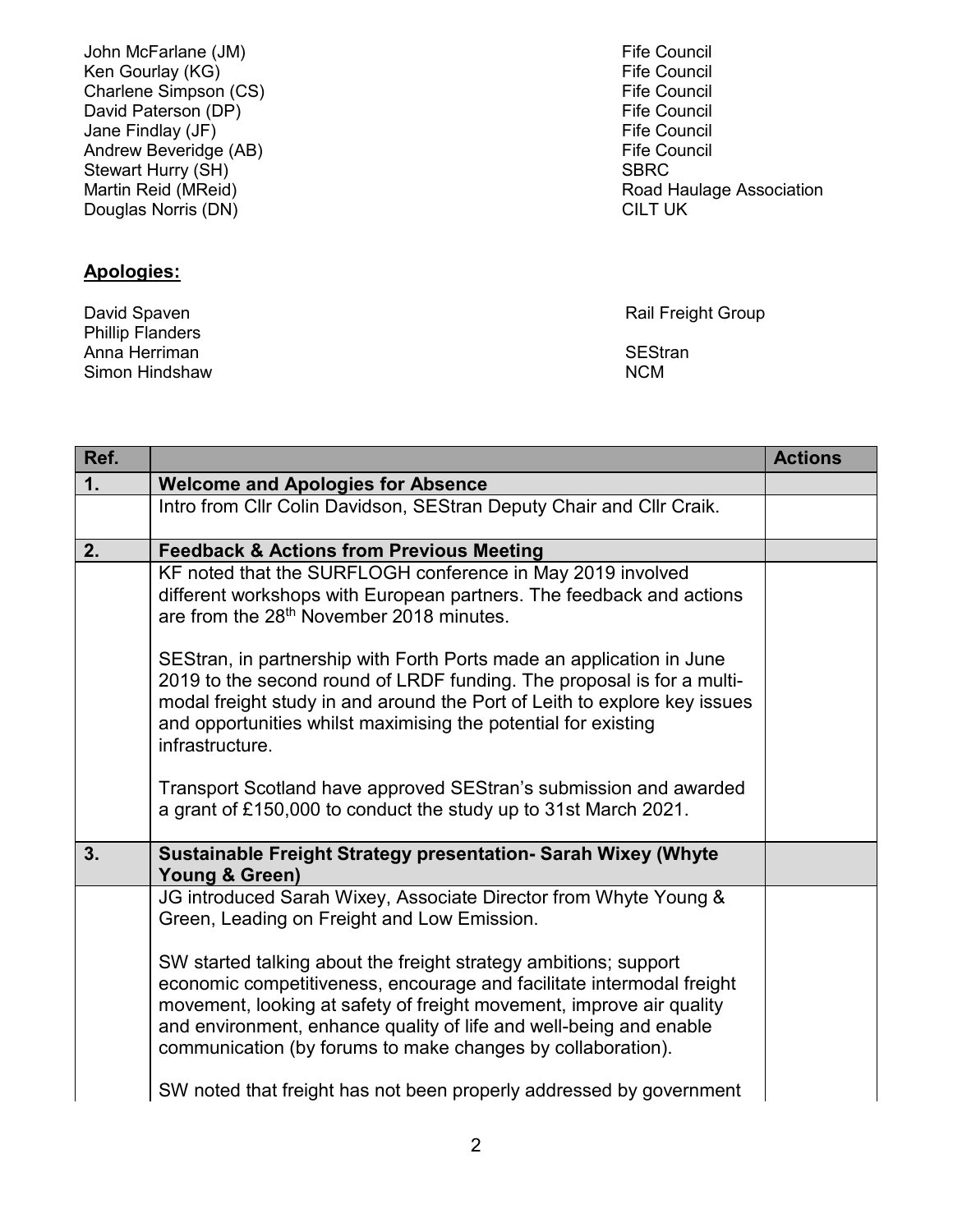John McFarlane (JM) Fife Council Ken Gourlay (KG)  $\overline{ }$  Fife Council Charlene Simpson (CS) Charlene Simpson (CS)<br>
David Paterson (DP)<br>
Fife Council David Paterson (DP)  $\overline{ }$  David Paterson (DP)  $\overline{ }$  David Paterson (DP)  $\overline{ }$  Fife Council Jane Findlay (JF)  $\overline{ }$  (Jet also a council council and the Council Andrew Beveridge (AB) Andrew Beveridge (AB) Stewart Hurry (SH) Stewart Hurry (SH) SBRC<br>
Martin Reid (MReid) Supervisory Supervisory Supervisory Supervisory Supervisory Supervisory Supervisory Super Douglas Norris (DN)

## **Apologies:**

Phillip Flanders Anna Herriman anns an t-ìreann anns an t-ìreann anns an t-ìreann anns an t-ìreann anns an t-ìreann anns an t-ìr<br>Anns an t-ìreann anns an t-ìreann an t-ìreann an t-ìreann an t-ìreann an t-ìreann an t-ìreann an t-ìreann an t Simon Hindshaw

Road Haulage Association<br>CILT UK

David Spaven **National Community Community** Community Rail Freight Group

| Ref. |                                                                                                                                                                                                                                                                                                                                                                                                                                                                                                                                                  | <b>Actions</b> |
|------|--------------------------------------------------------------------------------------------------------------------------------------------------------------------------------------------------------------------------------------------------------------------------------------------------------------------------------------------------------------------------------------------------------------------------------------------------------------------------------------------------------------------------------------------------|----------------|
| 1.   | <b>Welcome and Apologies for Absence</b>                                                                                                                                                                                                                                                                                                                                                                                                                                                                                                         |                |
|      | Intro from Cllr Colin Davidson, SEStran Deputy Chair and Cllr Craik.                                                                                                                                                                                                                                                                                                                                                                                                                                                                             |                |
| 2.   | <b>Feedback &amp; Actions from Previous Meeting</b>                                                                                                                                                                                                                                                                                                                                                                                                                                                                                              |                |
|      | KF noted that the SURFLOGH conference in May 2019 involved<br>different workshops with European partners. The feedback and actions<br>are from the 28 <sup>th</sup> November 2018 minutes.                                                                                                                                                                                                                                                                                                                                                       |                |
|      | SEStran, in partnership with Forth Ports made an application in June<br>2019 to the second round of LRDF funding. The proposal is for a multi-<br>modal freight study in and around the Port of Leith to explore key issues<br>and opportunities whilst maximising the potential for existing<br>infrastructure.                                                                                                                                                                                                                                 |                |
|      | Transport Scotland have approved SEStran's submission and awarded<br>a grant of £150,000 to conduct the study up to 31st March 2021.                                                                                                                                                                                                                                                                                                                                                                                                             |                |
| 3.   | Sustainable Freight Strategy presentation- Sarah Wixey (Whyte<br>Young & Green)                                                                                                                                                                                                                                                                                                                                                                                                                                                                  |                |
|      | JG introduced Sarah Wixey, Associate Director from Whyte Young &<br>Green, Leading on Freight and Low Emission.<br>SW started talking about the freight strategy ambitions; support<br>economic competitiveness, encourage and facilitate intermodal freight<br>movement, looking at safety of freight movement, improve air quality<br>and environment, enhance quality of life and well-being and enable<br>communication (by forums to make changes by collaboration).<br>SW noted that freight has not been properly addressed by government |                |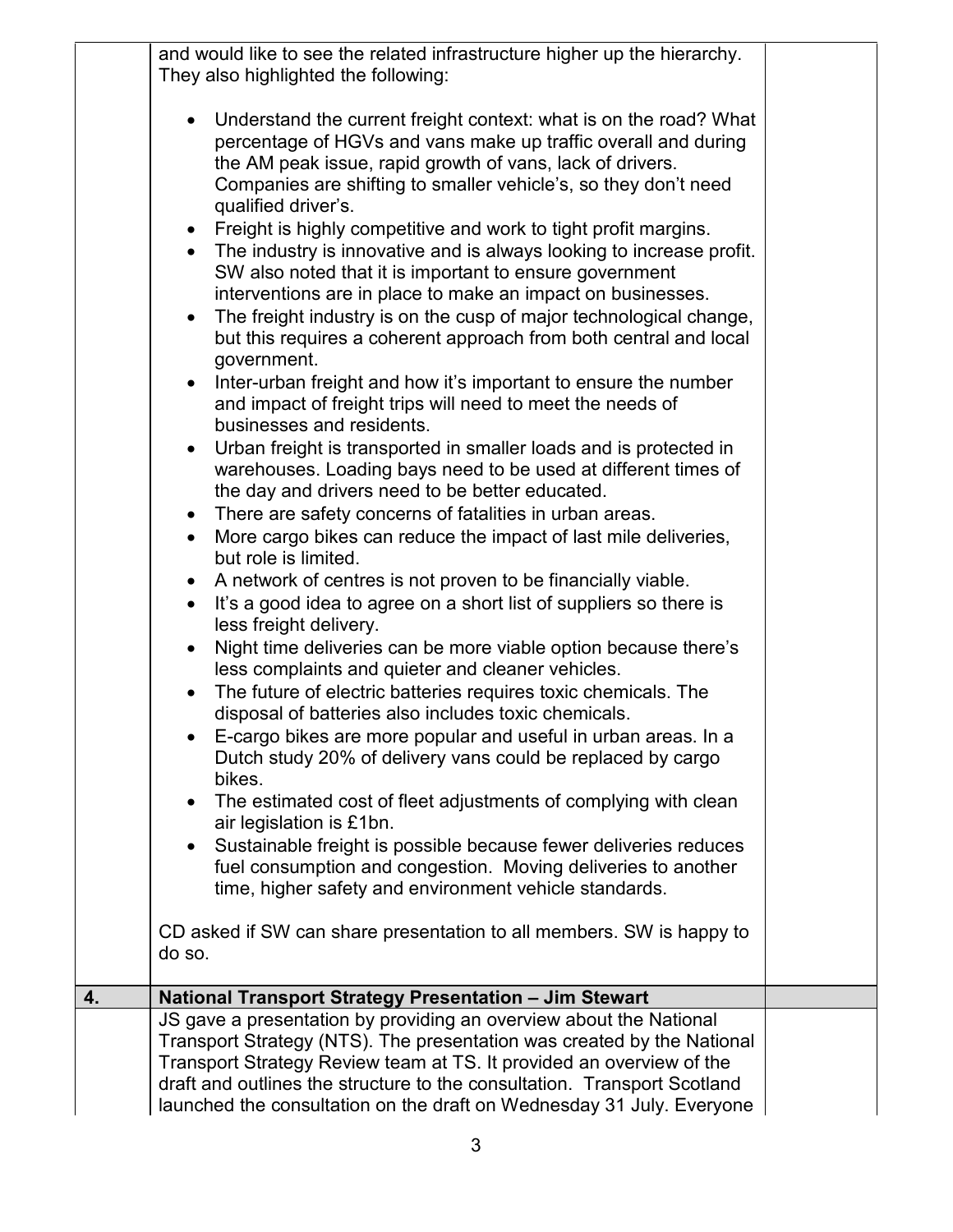|    | and would like to see the related infrastructure higher up the hierarchy.<br>They also highlighted the following:                                                                                                                                                                                                                                                         |  |
|----|---------------------------------------------------------------------------------------------------------------------------------------------------------------------------------------------------------------------------------------------------------------------------------------------------------------------------------------------------------------------------|--|
|    | Understand the current freight context: what is on the road? What<br>percentage of HGVs and vans make up traffic overall and during<br>the AM peak issue, rapid growth of vans, lack of drivers.<br>Companies are shifting to smaller vehicle's, so they don't need<br>qualified driver's.<br>Freight is highly competitive and work to tight profit margins.             |  |
|    | The industry is innovative and is always looking to increase profit.<br>$\bullet$<br>SW also noted that it is important to ensure government<br>interventions are in place to make an impact on businesses.<br>The freight industry is on the cusp of major technological change,<br>$\bullet$<br>but this requires a coherent approach from both central and local       |  |
|    | government.<br>Inter-urban freight and how it's important to ensure the number<br>and impact of freight trips will need to meet the needs of<br>businesses and residents.                                                                                                                                                                                                 |  |
|    | Urban freight is transported in smaller loads and is protected in<br>$\bullet$<br>warehouses. Loading bays need to be used at different times of<br>the day and drivers need to be better educated.<br>There are safety concerns of fatalities in urban areas.<br>$\bullet$                                                                                               |  |
|    | More cargo bikes can reduce the impact of last mile deliveries,<br>$\bullet$<br>but role is limited.<br>A network of centres is not proven to be financially viable.<br>It's a good idea to agree on a short list of suppliers so there is<br>$\bullet$                                                                                                                   |  |
|    | less freight delivery.<br>Night time deliveries can be more viable option because there's<br>less complaints and quieter and cleaner vehicles.<br>The future of electric batteries requires toxic chemicals. The                                                                                                                                                          |  |
|    | disposal of batteries also includes toxic chemicals.<br>E-cargo bikes are more popular and useful in urban areas. In a<br>Dutch study 20% of delivery vans could be replaced by cargo<br>bikes.                                                                                                                                                                           |  |
|    | The estimated cost of fleet adjustments of complying with clean<br>$\bullet$<br>air legislation is £1bn.<br>Sustainable freight is possible because fewer deliveries reduces<br>٠<br>fuel consumption and congestion. Moving deliveries to another<br>time, higher safety and environment vehicle standards.                                                              |  |
|    | CD asked if SW can share presentation to all members. SW is happy to<br>do so.                                                                                                                                                                                                                                                                                            |  |
| 4. | National Transport Strategy Presentation - Jim Stewart                                                                                                                                                                                                                                                                                                                    |  |
|    | JS gave a presentation by providing an overview about the National<br>Transport Strategy (NTS). The presentation was created by the National<br>Transport Strategy Review team at TS. It provided an overview of the<br>draft and outlines the structure to the consultation. Transport Scotland<br>launched the consultation on the draft on Wednesday 31 July. Everyone |  |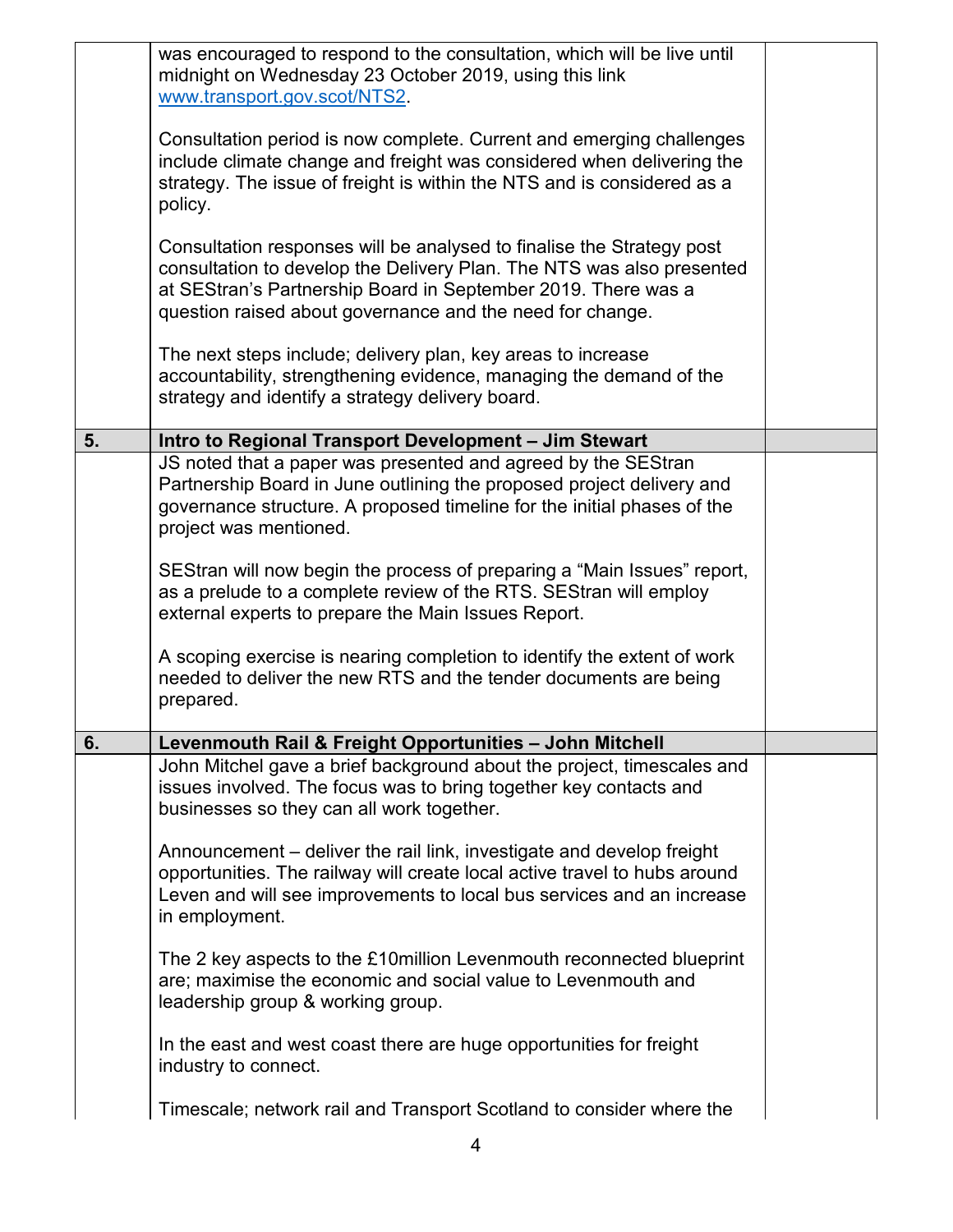|    | was encouraged to respond to the consultation, which will be live until<br>midnight on Wednesday 23 October 2019, using this link<br>www.transport.gov.scot/NTS2<br>Consultation period is now complete. Current and emerging challenges<br>include climate change and freight was considered when delivering the<br>strategy. The issue of freight is within the NTS and is considered as a<br>policy.<br>Consultation responses will be analysed to finalise the Strategy post<br>consultation to develop the Delivery Plan. The NTS was also presented<br>at SEStran's Partnership Board in September 2019. There was a<br>question raised about governance and the need for change.<br>The next steps include; delivery plan, key areas to increase<br>accountability, strengthening evidence, managing the demand of the<br>strategy and identify a strategy delivery board. |  |
|----|-----------------------------------------------------------------------------------------------------------------------------------------------------------------------------------------------------------------------------------------------------------------------------------------------------------------------------------------------------------------------------------------------------------------------------------------------------------------------------------------------------------------------------------------------------------------------------------------------------------------------------------------------------------------------------------------------------------------------------------------------------------------------------------------------------------------------------------------------------------------------------------|--|
| 5. | Intro to Regional Transport Development - Jim Stewart                                                                                                                                                                                                                                                                                                                                                                                                                                                                                                                                                                                                                                                                                                                                                                                                                             |  |
|    | JS noted that a paper was presented and agreed by the SEStran<br>Partnership Board in June outlining the proposed project delivery and<br>governance structure. A proposed timeline for the initial phases of the<br>project was mentioned.                                                                                                                                                                                                                                                                                                                                                                                                                                                                                                                                                                                                                                       |  |
|    | SEStran will now begin the process of preparing a "Main Issues" report,<br>as a prelude to a complete review of the RTS. SEStran will employ<br>external experts to prepare the Main Issues Report.                                                                                                                                                                                                                                                                                                                                                                                                                                                                                                                                                                                                                                                                               |  |
|    | A scoping exercise is nearing completion to identify the extent of work<br>needed to deliver the new RTS and the tender documents are being<br>prepared.                                                                                                                                                                                                                                                                                                                                                                                                                                                                                                                                                                                                                                                                                                                          |  |
| 6. | Levenmouth Rail & Freight Opportunities - John Mitchell                                                                                                                                                                                                                                                                                                                                                                                                                                                                                                                                                                                                                                                                                                                                                                                                                           |  |
|    | John Mitchel gave a brief background about the project, timescales and<br>issues involved. The focus was to bring together key contacts and<br>businesses so they can all work together.                                                                                                                                                                                                                                                                                                                                                                                                                                                                                                                                                                                                                                                                                          |  |
|    | Announcement – deliver the rail link, investigate and develop freight<br>opportunities. The railway will create local active travel to hubs around<br>Leven and will see improvements to local bus services and an increase<br>in employment.                                                                                                                                                                                                                                                                                                                                                                                                                                                                                                                                                                                                                                     |  |
|    | The 2 key aspects to the £10 million Levenmouth reconnected blueprint<br>are; maximise the economic and social value to Levenmouth and<br>leadership group & working group.                                                                                                                                                                                                                                                                                                                                                                                                                                                                                                                                                                                                                                                                                                       |  |
|    | In the east and west coast there are huge opportunities for freight<br>industry to connect.                                                                                                                                                                                                                                                                                                                                                                                                                                                                                                                                                                                                                                                                                                                                                                                       |  |
|    | Timescale; network rail and Transport Scotland to consider where the                                                                                                                                                                                                                                                                                                                                                                                                                                                                                                                                                                                                                                                                                                                                                                                                              |  |